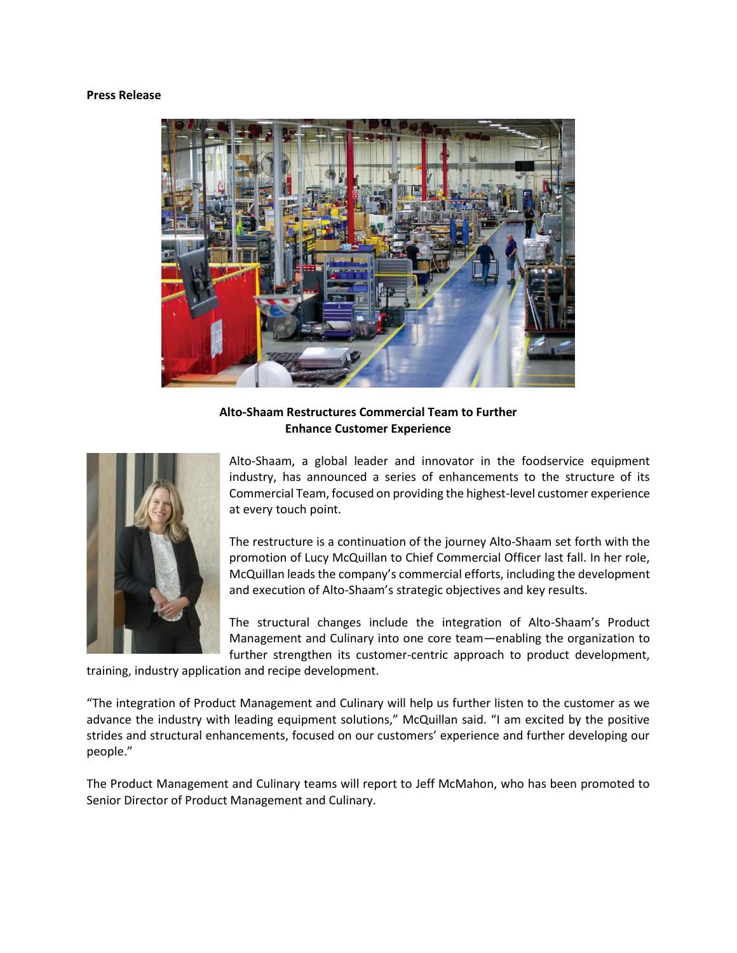## **Press Release**



**Alto-Shaam Restructures Commercial Team to Further Enhance Customer Experience**



Alto-Shaam, a global leader and innovator in the foodservice equipment industry, has announced a series of enhancements to the structure of its Commercial Team, focused on providing the highest-level customer experience at every touch point.

The restructure is a continuation of the journey Alto-Shaam set forth with the promotion of Lucy McQuillan to Chief Commercial Officer last fall. In her role, McQuillan leads the company's commercial efforts, including the development and execution of Alto-Shaam's strategic objectives and key results.

The structural changes include the integration of Alto-Shaam's Product Management and Culinary into one core team—enabling the organization to further strengthen its customer-centric approach to product development,

training, industry application and recipe development.

"The integration of Product Management and Culinary will help us further listen to the customer as we advance the industry with leading equipment solutions," McQuillan said. "I am excited by the positive strides and structural enhancements, focused on our customers' experience and further developing our people."

The Product Management and Culinary teams will report to Jeff McMahon, who has been promoted to Senior Director of Product Management and Culinary.